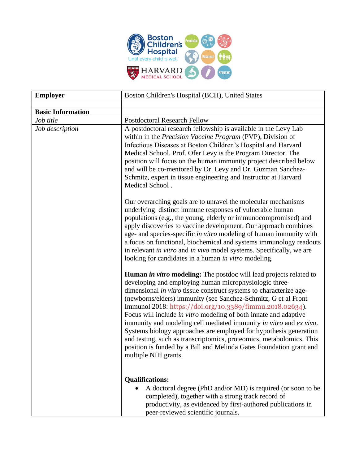

| <b>Employer</b>              | Boston Children's Hospital (BCH), United States                                                                                                                                                                                                                                                                                                                                                                                                                                                                                                                                                                                                                                                                                      |
|------------------------------|--------------------------------------------------------------------------------------------------------------------------------------------------------------------------------------------------------------------------------------------------------------------------------------------------------------------------------------------------------------------------------------------------------------------------------------------------------------------------------------------------------------------------------------------------------------------------------------------------------------------------------------------------------------------------------------------------------------------------------------|
|                              |                                                                                                                                                                                                                                                                                                                                                                                                                                                                                                                                                                                                                                                                                                                                      |
| <b>Basic Information</b>     |                                                                                                                                                                                                                                                                                                                                                                                                                                                                                                                                                                                                                                                                                                                                      |
| Job title<br>Job description | <b>Postdoctoral Research Fellow</b><br>A postdoctoral research fellowship is available in the Levy Lab<br>within in the Precision Vaccine Program (PVP), Division of<br>Infectious Diseases at Boston Children's Hospital and Harvard<br>Medical School. Prof. Ofer Levy is the Program Director. The<br>position will focus on the human immunity project described below<br>and will be co-mentored by Dr. Levy and Dr. Guzman Sanchez-<br>Schmitz, expert in tissue engineering and Instructor at Harvard<br>Medical School.                                                                                                                                                                                                      |
|                              | Our overarching goals are to unravel the molecular mechanisms<br>underlying distinct immune responses of vulnerable human<br>populations (e.g., the young, elderly or immunocompromised) and<br>apply discoveries to vaccine development. Our approach combines<br>age- and species-specific in vitro modeling of human immunity with<br>a focus on functional, biochemical and systems immunology readouts<br>in relevant in vitro and in vivo model systems. Specifically, we are<br>looking for candidates in a human in vitro modeling.                                                                                                                                                                                          |
|                              | <b>Human in vitro modeling:</b> The postdoc will lead projects related to<br>developing and employing human microphysiologic three-<br>dimensional in vitro tissue construct systems to characterize age-<br>(newborns/elders) immunity (see Sanchez-Schmitz, G et al Front<br>Immunol 2018: https://doi.org/10.3389/fimmu.2018.02634).<br>Focus will include <i>in vitro</i> modeling of both innate and adaptive<br>immunity and modeling cell mediated immunity in vitro and ex vivo.<br>Systems biology approaches are employed for hypothesis generation<br>and testing, such as transcriptomics, proteomics, metabolomics. This<br>position is funded by a Bill and Melinda Gates Foundation grant and<br>multiple NIH grants. |
|                              | <b>Qualifications:</b><br>A doctoral degree (PhD and/or MD) is required (or soon to be<br>completed), together with a strong track record of<br>productivity, as evidenced by first-authored publications in<br>peer-reviewed scientific journals.                                                                                                                                                                                                                                                                                                                                                                                                                                                                                   |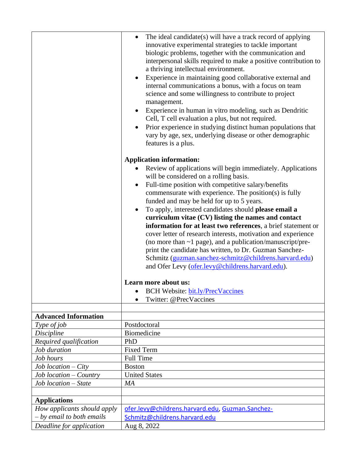|                             | The ideal candidate(s) will have a track record of applying<br>$\bullet$<br>innovative experimental strategies to tackle important<br>biologic problems, together with the communication and<br>interpersonal skills required to make a positive contribution to<br>a thriving intellectual environment.<br>Experience in maintaining good collaborative external and<br>$\bullet$<br>internal communications a bonus, with a focus on team<br>science and some willingness to contribute to project<br>management.<br>Experience in human in vitro modeling, such as Dendritic<br>$\bullet$<br>Cell, T cell evaluation a plus, but not required.<br>Prior experience in studying distinct human populations that<br>$\bullet$<br>vary by age, sex, underlying disease or other demographic<br>features is a plus.<br><b>Application information:</b><br>Review of applications will begin immediately. Applications<br>will be considered on a rolling basis.<br>Full-time position with competitive salary/benefits<br>$\bullet$<br>commensurate with experience. The position(s) is fully<br>funded and may be held for up to 5 years.<br>To apply, interested candidates should please email a<br>$\bullet$<br>curriculum vitae (CV) listing the names and contact<br>information for at least two references, a brief statement or<br>cover letter of research interests, motivation and experience<br>(no more than $\sim$ 1 page), and a publication/manuscript/pre-<br>print the candidate has written, to Dr. Guzman Sanchez-<br>Schmitz (guzman.sanchez-schmitz@childrens.harvard.edu)<br>and Ofer Levy (ofer.levy@childrens.harvard.edu).<br>Learn more about us:<br><b>BCH Website: bit.ly/PrecVaccines</b><br>Twitter: @PrecVaccines |
|-----------------------------|---------------------------------------------------------------------------------------------------------------------------------------------------------------------------------------------------------------------------------------------------------------------------------------------------------------------------------------------------------------------------------------------------------------------------------------------------------------------------------------------------------------------------------------------------------------------------------------------------------------------------------------------------------------------------------------------------------------------------------------------------------------------------------------------------------------------------------------------------------------------------------------------------------------------------------------------------------------------------------------------------------------------------------------------------------------------------------------------------------------------------------------------------------------------------------------------------------------------------------------------------------------------------------------------------------------------------------------------------------------------------------------------------------------------------------------------------------------------------------------------------------------------------------------------------------------------------------------------------------------------------------------------------------------------------------------------------------------------------------------------------|
|                             |                                                                                                                                                                                                                                                                                                                                                                                                                                                                                                                                                                                                                                                                                                                                                                                                                                                                                                                                                                                                                                                                                                                                                                                                                                                                                                                                                                                                                                                                                                                                                                                                                                                                                                                                                   |
| <b>Advanced Information</b> |                                                                                                                                                                                                                                                                                                                                                                                                                                                                                                                                                                                                                                                                                                                                                                                                                                                                                                                                                                                                                                                                                                                                                                                                                                                                                                                                                                                                                                                                                                                                                                                                                                                                                                                                                   |
| Type of job<br>Discipline   | Postdoctoral<br><b>Biomedicine</b>                                                                                                                                                                                                                                                                                                                                                                                                                                                                                                                                                                                                                                                                                                                                                                                                                                                                                                                                                                                                                                                                                                                                                                                                                                                                                                                                                                                                                                                                                                                                                                                                                                                                                                                |
| Required qualification      | PhD                                                                                                                                                                                                                                                                                                                                                                                                                                                                                                                                                                                                                                                                                                                                                                                                                                                                                                                                                                                                                                                                                                                                                                                                                                                                                                                                                                                                                                                                                                                                                                                                                                                                                                                                               |
| Job duration                | <b>Fixed Term</b>                                                                                                                                                                                                                                                                                                                                                                                                                                                                                                                                                                                                                                                                                                                                                                                                                                                                                                                                                                                                                                                                                                                                                                                                                                                                                                                                                                                                                                                                                                                                                                                                                                                                                                                                 |
| Job hours                   | <b>Full Time</b>                                                                                                                                                                                                                                                                                                                                                                                                                                                                                                                                                                                                                                                                                                                                                                                                                                                                                                                                                                                                                                                                                                                                                                                                                                                                                                                                                                                                                                                                                                                                                                                                                                                                                                                                  |
| $Job$ location $-City$      | <b>Boston</b>                                                                                                                                                                                                                                                                                                                                                                                                                                                                                                                                                                                                                                                                                                                                                                                                                                                                                                                                                                                                                                                                                                                                                                                                                                                                                                                                                                                                                                                                                                                                                                                                                                                                                                                                     |
| Job location – Country      | <b>United States</b>                                                                                                                                                                                                                                                                                                                                                                                                                                                                                                                                                                                                                                                                                                                                                                                                                                                                                                                                                                                                                                                                                                                                                                                                                                                                                                                                                                                                                                                                                                                                                                                                                                                                                                                              |
| Job location - State        | МA                                                                                                                                                                                                                                                                                                                                                                                                                                                                                                                                                                                                                                                                                                                                                                                                                                                                                                                                                                                                                                                                                                                                                                                                                                                                                                                                                                                                                                                                                                                                                                                                                                                                                                                                                |
|                             |                                                                                                                                                                                                                                                                                                                                                                                                                                                                                                                                                                                                                                                                                                                                                                                                                                                                                                                                                                                                                                                                                                                                                                                                                                                                                                                                                                                                                                                                                                                                                                                                                                                                                                                                                   |
| <b>Applications</b>         |                                                                                                                                                                                                                                                                                                                                                                                                                                                                                                                                                                                                                                                                                                                                                                                                                                                                                                                                                                                                                                                                                                                                                                                                                                                                                                                                                                                                                                                                                                                                                                                                                                                                                                                                                   |
| How applicants should apply | ofer.levy@childrens.harvard.edu, Guzman.Sanchez-                                                                                                                                                                                                                                                                                                                                                                                                                                                                                                                                                                                                                                                                                                                                                                                                                                                                                                                                                                                                                                                                                                                                                                                                                                                                                                                                                                                                                                                                                                                                                                                                                                                                                                  |
| $-$ by email to both emails | Schmitz@childrens.harvard.edu                                                                                                                                                                                                                                                                                                                                                                                                                                                                                                                                                                                                                                                                                                                                                                                                                                                                                                                                                                                                                                                                                                                                                                                                                                                                                                                                                                                                                                                                                                                                                                                                                                                                                                                     |
| Deadline for application    | Aug 8, 2022                                                                                                                                                                                                                                                                                                                                                                                                                                                                                                                                                                                                                                                                                                                                                                                                                                                                                                                                                                                                                                                                                                                                                                                                                                                                                                                                                                                                                                                                                                                                                                                                                                                                                                                                       |